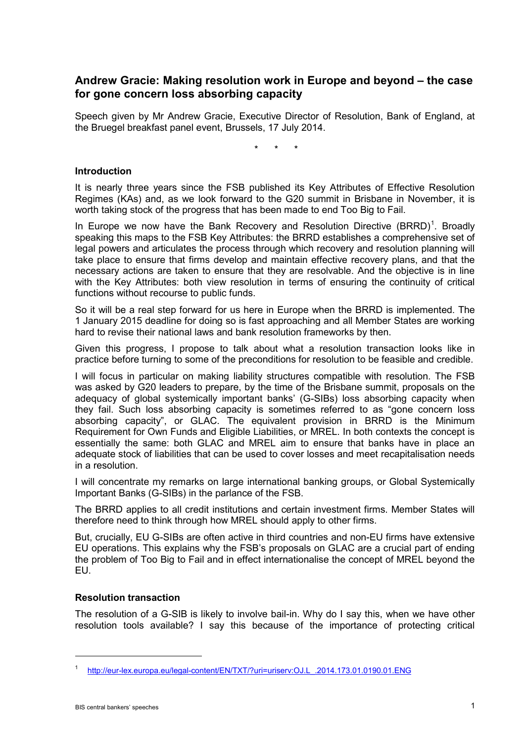# **Andrew Gracie: Making resolution work in Europe and beyond – the case for gone concern loss absorbing capacity**

Speech given by Mr Andrew Gracie, Executive Director of Resolution, Bank of England, at the Bruegel breakfast panel event, Brussels, 17 July 2014.

\* \* \*

### **Introduction**

It is nearly three years since the FSB published its Key Attributes of Effective Resolution Regimes (KAs) and, as we look forward to the G20 summit in Brisbane in November, it is worth taking stock of the progress that has been made to end Too Big to Fail.

In Europe we now have the Bank Recovery and Resolution Directive  $(BRRD)^1$  $(BRRD)^1$ . Broadly speaking this maps to the FSB Key Attributes: the BRRD establishes a comprehensive set of legal powers and articulates the process through which recovery and resolution planning will take place to ensure that firms develop and maintain effective recovery plans, and that the necessary actions are taken to ensure that they are resolvable. And the objective is in line with the Key Attributes: both view resolution in terms of ensuring the continuity of critical functions without recourse to public funds.

So it will be a real step forward for us here in Europe when the BRRD is implemented. The 1 January 2015 deadline for doing so is fast approaching and all Member States are working hard to revise their national laws and bank resolution frameworks by then.

Given this progress, I propose to talk about what a resolution transaction looks like in practice before turning to some of the preconditions for resolution to be feasible and credible.

I will focus in particular on making liability structures compatible with resolution. The FSB was asked by G20 leaders to prepare, by the time of the Brisbane summit, proposals on the adequacy of global systemically important banks' (G-SIBs) loss absorbing capacity when they fail. Such loss absorbing capacity is sometimes referred to as "gone concern loss absorbing capacity", or GLAC. The equivalent provision in BRRD is the Minimum Requirement for Own Funds and Eligible Liabilities, or MREL. In both contexts the concept is essentially the same: both GLAC and MREL aim to ensure that banks have in place an adequate stock of liabilities that can be used to cover losses and meet recapitalisation needs in a resolution.

I will concentrate my remarks on large international banking groups, or Global Systemically Important Banks (G-SIBs) in the parlance of the FSB.

The BRRD applies to all credit institutions and certain investment firms. Member States will therefore need to think through how MREL should apply to other firms.

But, crucially, EU G-SIBs are often active in third countries and non-EU firms have extensive EU operations. This explains why the FSB's proposals on GLAC are a crucial part of ending the problem of Too Big to Fail and in effect internationalise the concept of MREL beyond the EU.

# **Resolution transaction**

The resolution of a G-SIB is likely to involve bail-in. Why do I say this, when we have other resolution tools available? I say this because of the importance of protecting critical

<u>.</u>

<span id="page-0-0"></span><sup>1</sup> [http://eur-lex.europa.eu/legal-content/EN/TXT/?uri=uriserv:OJ.L\\_.2014.173.01.0190.01.ENG](http://eur-lex.europa.eu/legal-content/EN/TXT/?uri=uriserv:OJ.L_.2014.173.01.0190.01.ENG)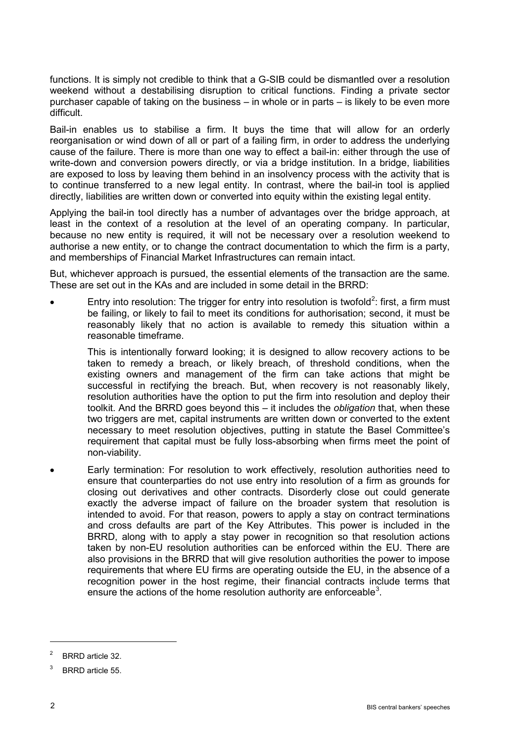functions. It is simply not credible to think that a G-SIB could be dismantled over a resolution weekend without a destabilising disruption to critical functions. Finding a private sector purchaser capable of taking on the business – in whole or in parts – is likely to be even more difficult.

Bail-in enables us to stabilise a firm. It buys the time that will allow for an orderly reorganisation or wind down of all or part of a failing firm, in order to address the underlying cause of the failure. There is more than one way to effect a bail-in: either through the use of write-down and conversion powers directly, or via a bridge institution. In a bridge, liabilities are exposed to loss by leaving them behind in an insolvency process with the activity that is to continue transferred to a new legal entity. In contrast, where the bail-in tool is applied directly, liabilities are written down or converted into equity within the existing legal entity.

Applying the bail-in tool directly has a number of advantages over the bridge approach, at least in the context of a resolution at the level of an operating company. In particular, because no new entity is required, it will not be necessary over a resolution weekend to authorise a new entity, or to change the contract documentation to which the firm is a party, and memberships of Financial Market Infrastructures can remain intact.

But, whichever approach is pursued, the essential elements of the transaction are the same. These are set out in the KAs and are included in some detail in the BRRD:

• Entry into resolution: The trigger for entry into resolution is twofold<sup>[2](#page-1-0)</sup>: first, a firm must be failing, or likely to fail to meet its conditions for authorisation; second, it must be reasonably likely that no action is available to remedy this situation within a reasonable timeframe.

This is intentionally forward looking; it is designed to allow recovery actions to be taken to remedy a breach, or likely breach, of threshold conditions, when the existing owners and management of the firm can take actions that might be successful in rectifying the breach. But, when recovery is not reasonably likely, resolution authorities have the option to put the firm into resolution and deploy their toolkit. And the BRRD goes beyond this – it includes the *obligation* that, when these two triggers are met, capital instruments are written down or converted to the extent necessary to meet resolution objectives, putting in statute the Basel Committee's requirement that capital must be fully loss-absorbing when firms meet the point of non-viability.

• Early termination: For resolution to work effectively, resolution authorities need to ensure that counterparties do not use entry into resolution of a firm as grounds for closing out derivatives and other contracts. Disorderly close out could generate exactly the adverse impact of failure on the broader system that resolution is intended to avoid. For that reason, powers to apply a stay on contract terminations and cross defaults are part of the Key Attributes. This power is included in the BRRD, along with to apply a stay power in recognition so that resolution actions taken by non-EU resolution authorities can be enforced within the EU. There are also provisions in the BRRD that will give resolution authorities the power to impose requirements that where EU firms are operating outside the EU, in the absence of a recognition power in the host regime, their financial contracts include terms that ensure the actions of the home resolution authority are enforceable<sup>[3](#page-1-1)</sup>.

-

<span id="page-1-0"></span>BRRD article 32.

<span id="page-1-1"></span>BRRD article 55.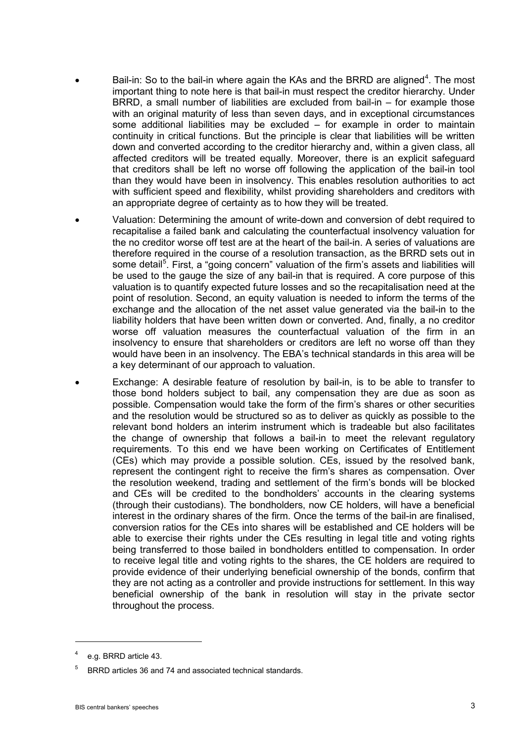- Bail-in: So to the bail-in where again the KAs and the BRRD are aligned<sup>[4](#page-2-0)</sup>. The most important thing to note here is that bail-in must respect the creditor hierarchy. Under BRRD, a small number of liabilities are excluded from bail-in – for example those with an original maturity of less than seven days, and in exceptional circumstances some additional liabilities may be excluded – for example in order to maintain continuity in critical functions. But the principle is clear that liabilities will be written down and converted according to the creditor hierarchy and, within a given class, all affected creditors will be treated equally. Moreover, there is an explicit safeguard that creditors shall be left no worse off following the application of the bail-in tool than they would have been in insolvency. This enables resolution authorities to act with sufficient speed and flexibility, whilst providing shareholders and creditors with an appropriate degree of certainty as to how they will be treated.
- Valuation: Determining the amount of write-down and conversion of debt required to recapitalise a failed bank and calculating the counterfactual insolvency valuation for the no creditor worse off test are at the heart of the bail-in. A series of valuations are therefore required in the course of a resolution transaction, as the BRRD sets out in some detail<sup>[5](#page-2-1)</sup>. First, a "going concern" valuation of the firm's assets and liabilities will be used to the gauge the size of any bail-in that is required. A core purpose of this valuation is to quantify expected future losses and so the recapitalisation need at the point of resolution. Second, an equity valuation is needed to inform the terms of the exchange and the allocation of the net asset value generated via the bail-in to the liability holders that have been written down or converted. And, finally, a no creditor worse off valuation measures the counterfactual valuation of the firm in an insolvency to ensure that shareholders or creditors are left no worse off than they would have been in an insolvency. The EBA's technical standards in this area will be a key determinant of our approach to valuation.
- Exchange: A desirable feature of resolution by bail-in, is to be able to transfer to those bond holders subject to bail, any compensation they are due as soon as possible. Compensation would take the form of the firm's shares or other securities and the resolution would be structured so as to deliver as quickly as possible to the relevant bond holders an interim instrument which is tradeable but also facilitates the change of ownership that follows a bail-in to meet the relevant regulatory requirements. To this end we have been working on Certificates of Entitlement (CEs) which may provide a possible solution. CEs, issued by the resolved bank, represent the contingent right to receive the firm's shares as compensation. Over the resolution weekend, trading and settlement of the firm's bonds will be blocked and CEs will be credited to the bondholders' accounts in the clearing systems (through their custodians). The bondholders, now CE holders, will have a beneficial interest in the ordinary shares of the firm. Once the terms of the bail-in are finalised, conversion ratios for the CEs into shares will be established and CE holders will be able to exercise their rights under the CEs resulting in legal title and voting rights being transferred to those bailed in bondholders entitled to compensation. In order to receive legal title and voting rights to the shares, the CE holders are required to provide evidence of their underlying beneficial ownership of the bonds, confirm that they are not acting as a controller and provide instructions for settlement. In this way beneficial ownership of the bank in resolution will stay in the private sector throughout the process.

-

<span id="page-2-0"></span>e.g. BRRD article 43.

<span id="page-2-1"></span><sup>5</sup> BRRD articles 36 and 74 and associated technical standards.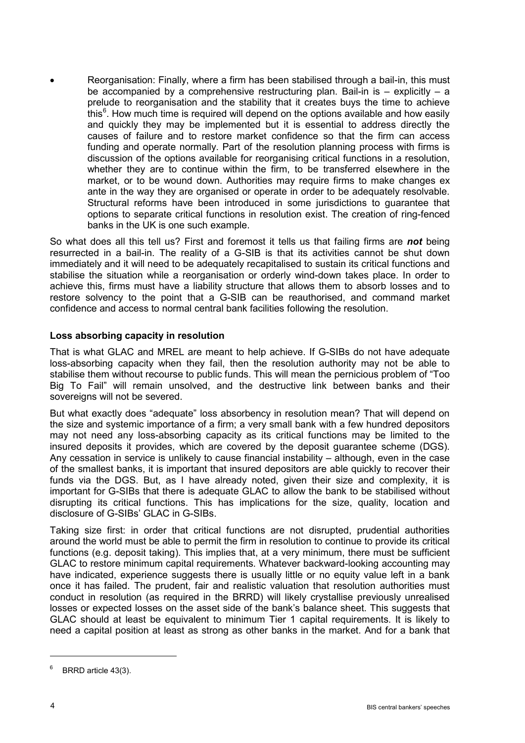Reorganisation: Finally, where a firm has been stabilised through a bail-in, this must be accompanied by a comprehensive restructuring plan. Bail-in is  $-$  explicitly  $-$  a prelude to reorganisation and the stability that it creates buys the time to achieve this<sup>[6](#page-3-0)</sup>. How much time is required will depend on the options available and how easily and quickly they may be implemented but it is essential to address directly the causes of failure and to restore market confidence so that the firm can access funding and operate normally. Part of the resolution planning process with firms is discussion of the options available for reorganising critical functions in a resolution, whether they are to continue within the firm, to be transferred elsewhere in the market, or to be wound down. Authorities may require firms to make changes ex ante in the way they are organised or operate in order to be adequately resolvable. Structural reforms have been introduced in some jurisdictions to guarantee that options to separate critical functions in resolution exist. The creation of ring-fenced banks in the UK is one such example.

So what does all this tell us? First and foremost it tells us that failing firms are *not* being resurrected in a bail-in. The reality of a G-SIB is that its activities cannot be shut down immediately and it will need to be adequately recapitalised to sustain its critical functions and stabilise the situation while a reorganisation or orderly wind-down takes place. In order to achieve this, firms must have a liability structure that allows them to absorb losses and to restore solvency to the point that a G-SIB can be reauthorised, and command market confidence and access to normal central bank facilities following the resolution.

### **Loss absorbing capacity in resolution**

That is what GLAC and MREL are meant to help achieve. If G-SIBs do not have adequate loss-absorbing capacity when they fail, then the resolution authority may not be able to stabilise them without recourse to public funds. This will mean the pernicious problem of "Too Big To Fail" will remain unsolved, and the destructive link between banks and their sovereigns will not be severed.

But what exactly does "adequate" loss absorbency in resolution mean? That will depend on the size and systemic importance of a firm; a very small bank with a few hundred depositors may not need any loss-absorbing capacity as its critical functions may be limited to the insured deposits it provides, which are covered by the deposit guarantee scheme (DGS). Any cessation in service is unlikely to cause financial instability – although, even in the case of the smallest banks, it is important that insured depositors are able quickly to recover their funds via the DGS. But, as I have already noted, given their size and complexity, it is important for G-SIBs that there is adequate GLAC to allow the bank to be stabilised without disrupting its critical functions. This has implications for the size, quality, location and disclosure of G-SIBs' GLAC in G-SIBs.

Taking size first: in order that critical functions are not disrupted, prudential authorities around the world must be able to permit the firm in resolution to continue to provide its critical functions (e.g. deposit taking). This implies that, at a very minimum, there must be sufficient GLAC to restore minimum capital requirements. Whatever backward-looking accounting may have indicated, experience suggests there is usually little or no equity value left in a bank once it has failed. The prudent, fair and realistic valuation that resolution authorities must conduct in resolution (as required in the BRRD) will likely crystallise previously unrealised losses or expected losses on the asset side of the bank's balance sheet. This suggests that GLAC should at least be equivalent to minimum Tier 1 capital requirements. It is likely to need a capital position at least as strong as other banks in the market. And for a bank that

 $\overline{a}$ 

<span id="page-3-0"></span>BRRD article 43(3).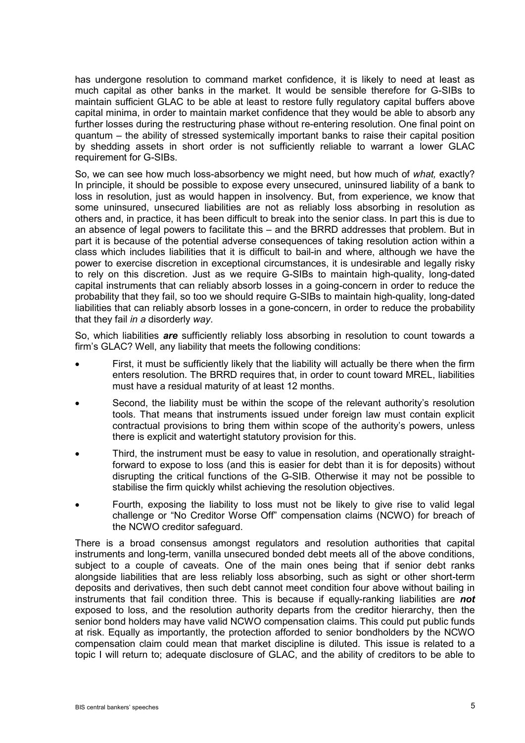has undergone resolution to command market confidence, it is likely to need at least as much capital as other banks in the market. It would be sensible therefore for G-SIBs to maintain sufficient GLAC to be able at least to restore fully regulatory capital buffers above capital minima, in order to maintain market confidence that they would be able to absorb any further losses during the restructuring phase without re-entering resolution. One final point on quantum – the ability of stressed systemically important banks to raise their capital position by shedding assets in short order is not sufficiently reliable to warrant a lower GLAC requirement for G-SIBs.

So, we can see how much loss-absorbency we might need, but how much of *what,* exactly? In principle, it should be possible to expose every unsecured, uninsured liability of a bank to loss in resolution, just as would happen in insolvency. But, from experience, we know that some uninsured, unsecured liabilities are not as reliably loss absorbing in resolution as others and, in practice, it has been difficult to break into the senior class. In part this is due to an absence of legal powers to facilitate this – and the BRRD addresses that problem. But in part it is because of the potential adverse consequences of taking resolution action within a class which includes liabilities that it is difficult to bail-in and where, although we have the power to exercise discretion in exceptional circumstances, it is undesirable and legally risky to rely on this discretion. Just as we require G-SIBs to maintain high-quality, long-dated capital instruments that can reliably absorb losses in a going-concern in order to reduce the probability that they fail, so too we should require G-SIBs to maintain high-quality, long-dated liabilities that can reliably absorb losses in a gone-concern, in order to reduce the probability that they fail *in a* disorderly *way*.

So, which liabilities *are* sufficiently reliably loss absorbing in resolution to count towards a firm's GLAC? Well, any liability that meets the following conditions:

- First, it must be sufficiently likely that the liability will actually be there when the firm enters resolution. The BRRD requires that, in order to count toward MREL, liabilities must have a residual maturity of at least 12 months.
- Second, the liability must be within the scope of the relevant authority's resolution tools. That means that instruments issued under foreign law must contain explicit contractual provisions to bring them within scope of the authority's powers, unless there is explicit and watertight statutory provision for this.
- Third, the instrument must be easy to value in resolution, and operationally straightforward to expose to loss (and this is easier for debt than it is for deposits) without disrupting the critical functions of the G-SIB. Otherwise it may not be possible to stabilise the firm quickly whilst achieving the resolution objectives.
- Fourth, exposing the liability to loss must not be likely to give rise to valid legal challenge or "No Creditor Worse Off" compensation claims (NCWO) for breach of the NCWO creditor safeguard.

There is a broad consensus amongst regulators and resolution authorities that capital instruments and long-term, vanilla unsecured bonded debt meets all of the above conditions, subject to a couple of caveats. One of the main ones being that if senior debt ranks alongside liabilities that are less reliably loss absorbing, such as sight or other short-term deposits and derivatives, then such debt cannot meet condition four above without bailing in instruments that fail condition three. This is because if equally-ranking liabilities are *not* exposed to loss, and the resolution authority departs from the creditor hierarchy, then the senior bond holders may have valid NCWO compensation claims. This could put public funds at risk. Equally as importantly, the protection afforded to senior bondholders by the NCWO compensation claim could mean that market discipline is diluted. This issue is related to a topic I will return to; adequate disclosure of GLAC, and the ability of creditors to be able to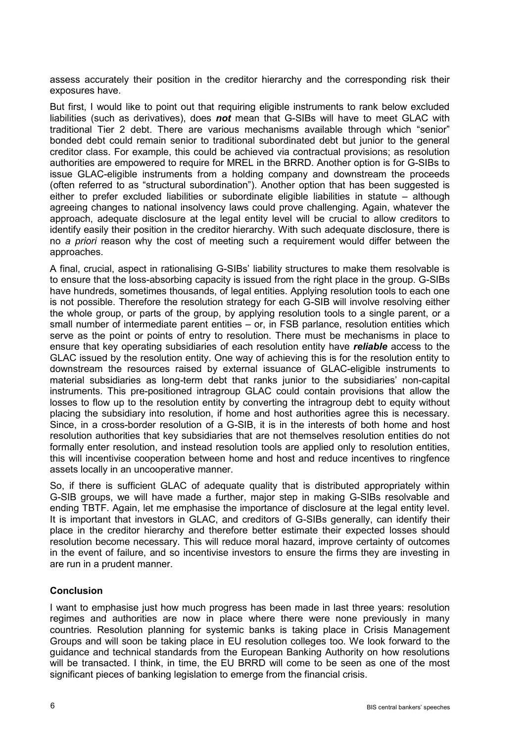assess accurately their position in the creditor hierarchy and the corresponding risk their exposures have.

But first, I would like to point out that requiring eligible instruments to rank below excluded liabilities (such as derivatives), does *not* mean that G-SIBs will have to meet GLAC with traditional Tier 2 debt. There are various mechanisms available through which "senior" bonded debt could remain senior to traditional subordinated debt but junior to the general creditor class. For example, this could be achieved via contractual provisions; as resolution authorities are empowered to require for MREL in the BRRD. Another option is for G-SIBs to issue GLAC-eligible instruments from a holding company and downstream the proceeds (often referred to as "structural subordination"). Another option that has been suggested is either to prefer excluded liabilities or subordinate eligible liabilities in statute – although agreeing changes to national insolvency laws could prove challenging. Again, whatever the approach, adequate disclosure at the legal entity level will be crucial to allow creditors to identify easily their position in the creditor hierarchy. With such adequate disclosure, there is no *a priori* reason why the cost of meeting such a requirement would differ between the approaches.

A final, crucial, aspect in rationalising G-SIBs' liability structures to make them resolvable is to ensure that the loss-absorbing capacity is issued from the right place in the group. G-SIBs have hundreds, sometimes thousands, of legal entities. Applying resolution tools to each one is not possible. Therefore the resolution strategy for each G-SIB will involve resolving either the whole group, or parts of the group, by applying resolution tools to a single parent, or a small number of intermediate parent entities – or, in FSB parlance, resolution entities which serve as the point or points of entry to resolution. There must be mechanisms in place to ensure that key operating subsidiaries of each resolution entity have *reliable* access to the GLAC issued by the resolution entity. One way of achieving this is for the resolution entity to downstream the resources raised by external issuance of GLAC-eligible instruments to material subsidiaries as long-term debt that ranks junior to the subsidiaries' non-capital instruments. This pre-positioned intragroup GLAC could contain provisions that allow the losses to flow up to the resolution entity by converting the intragroup debt to equity without placing the subsidiary into resolution, if home and host authorities agree this is necessary. Since, in a cross-border resolution of a G-SIB, it is in the interests of both home and host resolution authorities that key subsidiaries that are not themselves resolution entities do not formally enter resolution, and instead resolution tools are applied only to resolution entities, this will incentivise cooperation between home and host and reduce incentives to ringfence assets locally in an uncooperative manner.

So, if there is sufficient GLAC of adequate quality that is distributed appropriately within G-SIB groups, we will have made a further, major step in making G-SIBs resolvable and ending TBTF. Again, let me emphasise the importance of disclosure at the legal entity level. It is important that investors in GLAC, and creditors of G-SIBs generally, can identify their place in the creditor hierarchy and therefore better estimate their expected losses should resolution become necessary. This will reduce moral hazard, improve certainty of outcomes in the event of failure, and so incentivise investors to ensure the firms they are investing in are run in a prudent manner.

# **Conclusion**

I want to emphasise just how much progress has been made in last three years: resolution regimes and authorities are now in place where there were none previously in many countries. Resolution planning for systemic banks is taking place in Crisis Management Groups and will soon be taking place in EU resolution colleges too. We look forward to the guidance and technical standards from the European Banking Authority on how resolutions will be transacted. I think, in time, the EU BRRD will come to be seen as one of the most significant pieces of banking legislation to emerge from the financial crisis.